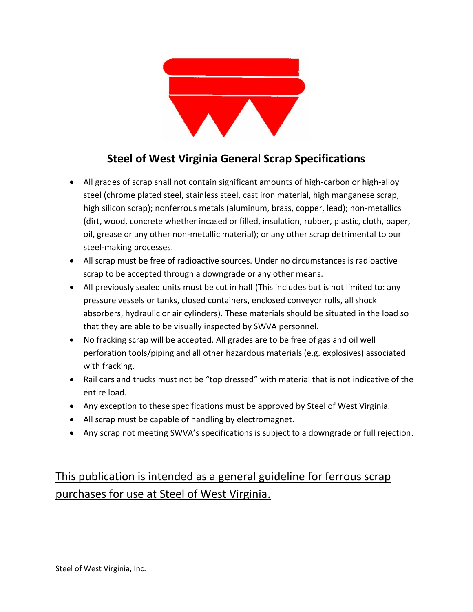

## **Steel of West Virginia General Scrap Specifications**

- All grades of scrap shall not contain significant amounts of high-carbon or high-alloy steel (chrome plated steel, stainless steel, cast iron material, high manganese scrap, high silicon scrap); nonferrous metals (aluminum, brass, copper, lead); non-metallics (dirt, wood, concrete whether incased or filled, insulation, rubber, plastic, cloth, paper, oil, grease or any other non-metallic material); or any other scrap detrimental to our steel-making processes.
- All scrap must be free of radioactive sources. Under no circumstances is radioactive scrap to be accepted through a downgrade or any other means.
- All previously sealed units must be cut in half (This includes but is not limited to: any pressure vessels or tanks, closed containers, enclosed conveyor rolls, all shock absorbers, hydraulic or air cylinders). These materials should be situated in the load so that they are able to be visually inspected by SWVA personnel.
- No fracking scrap will be accepted. All grades are to be free of gas and oil well perforation tools/piping and all other hazardous materials (e.g. explosives) associated with fracking.
- Rail cars and trucks must not be "top dressed" with material that is not indicative of the entire load.
- Any exception to these specifications must be approved by Steel of West Virginia.
- All scrap must be capable of handling by electromagnet.
- Any scrap not meeting SWVA's specifications is subject to a downgrade or full rejection.

# This publication is intended as a general guideline for ferrous scrap purchases for use at Steel of West Virginia.